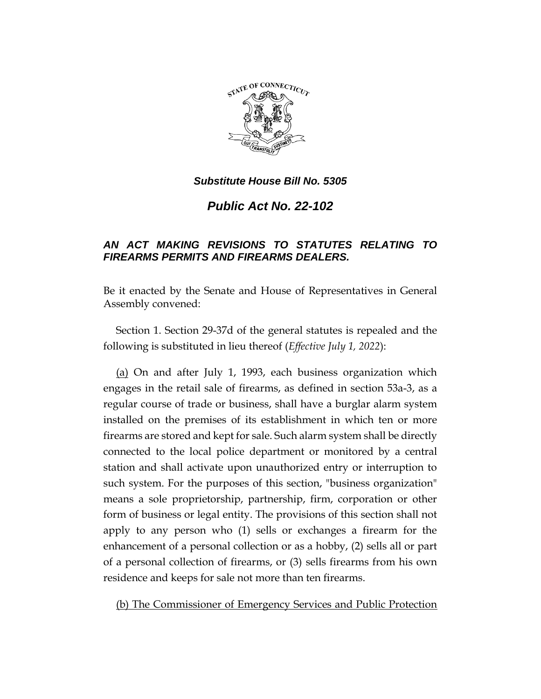

*Public Act No. 22-102*

# *AN ACT MAKING REVISIONS TO STATUTES RELATING TO FIREARMS PERMITS AND FIREARMS DEALERS.*

Be it enacted by the Senate and House of Representatives in General Assembly convened:

Section 1. Section 29-37d of the general statutes is repealed and the following is substituted in lieu thereof (*Effective July 1, 2022*):

(a) On and after July 1, 1993, each business organization which engages in the retail sale of firearms, as defined in section 53a-3, as a regular course of trade or business, shall have a burglar alarm system installed on the premises of its establishment in which ten or more firearms are stored and kept for sale. Such alarm system shall be directly connected to the local police department or monitored by a central station and shall activate upon unauthorized entry or interruption to such system. For the purposes of this section, "business organization" means a sole proprietorship, partnership, firm, corporation or other form of business or legal entity. The provisions of this section shall not apply to any person who (1) sells or exchanges a firearm for the enhancement of a personal collection or as a hobby, (2) sells all or part of a personal collection of firearms, or (3) sells firearms from his own residence and keeps for sale not more than ten firearms.

(b) The Commissioner of Emergency Services and Public Protection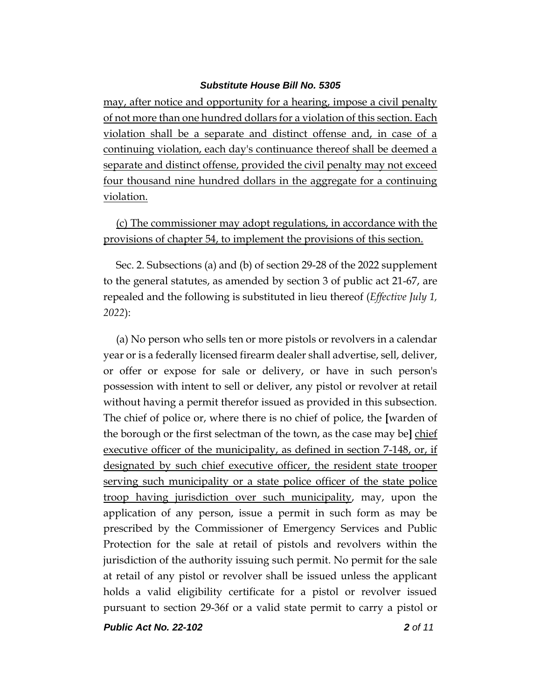may, after notice and opportunity for a hearing, impose a civil penalty of not more than one hundred dollars for a violation of this section. Each violation shall be a separate and distinct offense and, in case of a continuing violation, each day's continuance thereof shall be deemed a separate and distinct offense, provided the civil penalty may not exceed four thousand nine hundred dollars in the aggregate for a continuing violation.

(c) The commissioner may adopt regulations, in accordance with the provisions of chapter 54, to implement the provisions of this section.

Sec. 2. Subsections (a) and (b) of section 29-28 of the 2022 supplement to the general statutes, as amended by section 3 of public act 21-67, are repealed and the following is substituted in lieu thereof (*Effective July 1, 2022*):

(a) No person who sells ten or more pistols or revolvers in a calendar year or is a federally licensed firearm dealer shall advertise, sell, deliver, or offer or expose for sale or delivery, or have in such person's possession with intent to sell or deliver, any pistol or revolver at retail without having a permit therefor issued as provided in this subsection. The chief of police or, where there is no chief of police, the **[**warden of the borough or the first selectman of the town, as the case may be**]** chief executive officer of the municipality, as defined in section 7-148, or, if designated by such chief executive officer, the resident state trooper serving such municipality or a state police officer of the state police troop having jurisdiction over such municipality, may, upon the application of any person, issue a permit in such form as may be prescribed by the Commissioner of Emergency Services and Public Protection for the sale at retail of pistols and revolvers within the jurisdiction of the authority issuing such permit. No permit for the sale at retail of any pistol or revolver shall be issued unless the applicant holds a valid eligibility certificate for a pistol or revolver issued pursuant to section 29-36f or a valid state permit to carry a pistol or

*Public Act No. 22-102 2 of 11*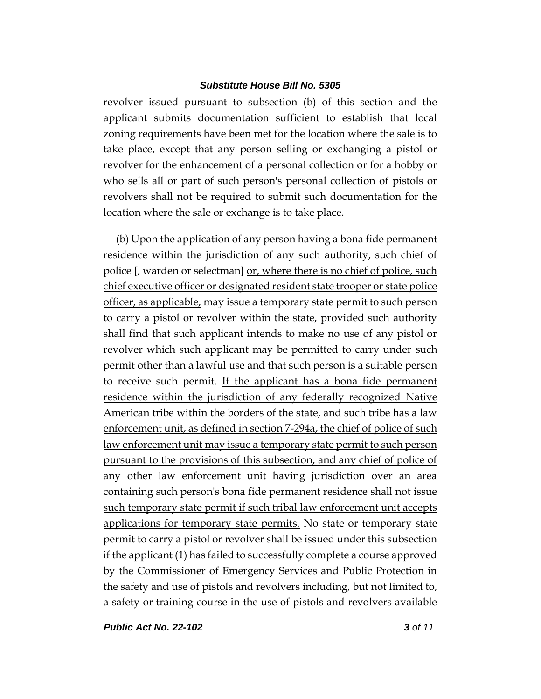revolver issued pursuant to subsection (b) of this section and the applicant submits documentation sufficient to establish that local zoning requirements have been met for the location where the sale is to take place, except that any person selling or exchanging a pistol or revolver for the enhancement of a personal collection or for a hobby or who sells all or part of such person's personal collection of pistols or revolvers shall not be required to submit such documentation for the location where the sale or exchange is to take place.

(b) Upon the application of any person having a bona fide permanent residence within the jurisdiction of any such authority, such chief of police **[**, warden or selectman**]** or, where there is no chief of police, such chief executive officer or designated resident state trooper or state police officer, as applicable, may issue a temporary state permit to such person to carry a pistol or revolver within the state, provided such authority shall find that such applicant intends to make no use of any pistol or revolver which such applicant may be permitted to carry under such permit other than a lawful use and that such person is a suitable person to receive such permit. If the applicant has a bona fide permanent residence within the jurisdiction of any federally recognized Native American tribe within the borders of the state, and such tribe has a law enforcement unit, as defined in section 7-294a, the chief of police of such law enforcement unit may issue a temporary state permit to such person pursuant to the provisions of this subsection, and any chief of police of any other law enforcement unit having jurisdiction over an area containing such person's bona fide permanent residence shall not issue such temporary state permit if such tribal law enforcement unit accepts applications for temporary state permits. No state or temporary state permit to carry a pistol or revolver shall be issued under this subsection if the applicant (1) has failed to successfully complete a course approved by the Commissioner of Emergency Services and Public Protection in the safety and use of pistols and revolvers including, but not limited to, a safety or training course in the use of pistols and revolvers available

*Public Act No. 22-102 3 of 11*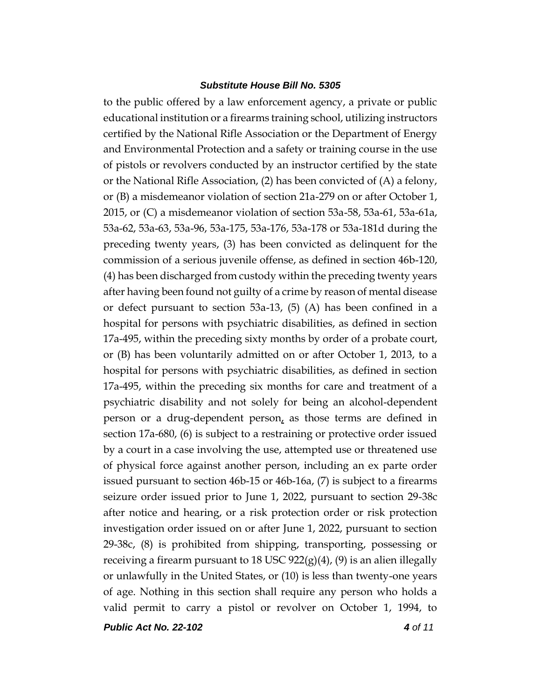to the public offered by a law enforcement agency, a private or public educational institution or a firearms training school, utilizing instructors certified by the National Rifle Association or the Department of Energy and Environmental Protection and a safety or training course in the use of pistols or revolvers conducted by an instructor certified by the state or the National Rifle Association, (2) has been convicted of (A) a felony, or (B) a misdemeanor violation of section 21a-279 on or after October 1, 2015, or (C) a misdemeanor violation of section 53a-58, 53a-61, 53a-61a, 53a-62, 53a-63, 53a-96, 53a-175, 53a-176, 53a-178 or 53a-181d during the preceding twenty years, (3) has been convicted as delinquent for the commission of a serious juvenile offense, as defined in section 46b-120, (4) has been discharged from custody within the preceding twenty years after having been found not guilty of a crime by reason of mental disease or defect pursuant to section 53a-13, (5) (A) has been confined in a hospital for persons with psychiatric disabilities, as defined in section 17a-495, within the preceding sixty months by order of a probate court, or (B) has been voluntarily admitted on or after October 1, 2013, to a hospital for persons with psychiatric disabilities, as defined in section 17a-495, within the preceding six months for care and treatment of a psychiatric disability and not solely for being an alcohol-dependent person or a drug-dependent person, as those terms are defined in section 17a-680, (6) is subject to a restraining or protective order issued by a court in a case involving the use, attempted use or threatened use of physical force against another person, including an ex parte order issued pursuant to section 46b-15 or 46b-16a, (7) is subject to a firearms seizure order issued prior to June 1, 2022, pursuant to section 29-38c after notice and hearing, or a risk protection order or risk protection investigation order issued on or after June 1, 2022, pursuant to section 29-38c, (8) is prohibited from shipping, transporting, possessing or receiving a firearm pursuant to 18 USC  $922(g)(4)$ , (9) is an alien illegally or unlawfully in the United States, or (10) is less than twenty-one years of age. Nothing in this section shall require any person who holds a valid permit to carry a pistol or revolver on October 1, 1994, to

*Public Act No. 22-102 4 of 11*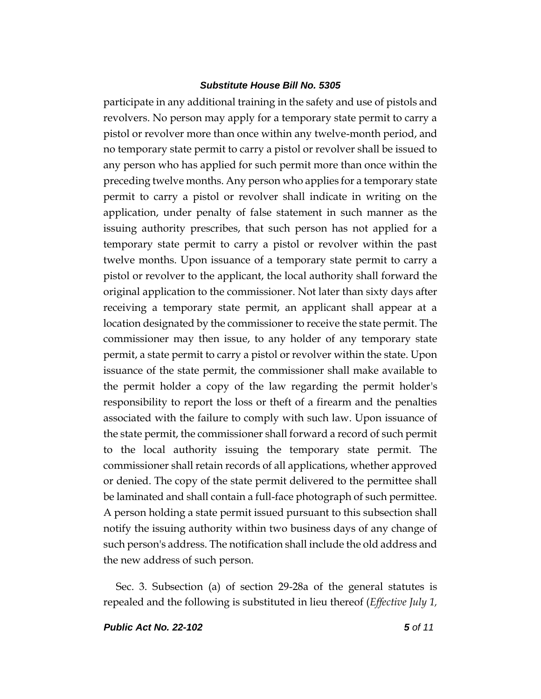participate in any additional training in the safety and use of pistols and revolvers. No person may apply for a temporary state permit to carry a pistol or revolver more than once within any twelve-month period, and no temporary state permit to carry a pistol or revolver shall be issued to any person who has applied for such permit more than once within the preceding twelve months. Any person who applies for a temporary state permit to carry a pistol or revolver shall indicate in writing on the application, under penalty of false statement in such manner as the issuing authority prescribes, that such person has not applied for a temporary state permit to carry a pistol or revolver within the past twelve months. Upon issuance of a temporary state permit to carry a pistol or revolver to the applicant, the local authority shall forward the original application to the commissioner. Not later than sixty days after receiving a temporary state permit, an applicant shall appear at a location designated by the commissioner to receive the state permit. The commissioner may then issue, to any holder of any temporary state permit, a state permit to carry a pistol or revolver within the state. Upon issuance of the state permit, the commissioner shall make available to the permit holder a copy of the law regarding the permit holder's responsibility to report the loss or theft of a firearm and the penalties associated with the failure to comply with such law. Upon issuance of the state permit, the commissioner shall forward a record of such permit to the local authority issuing the temporary state permit. The commissioner shall retain records of all applications, whether approved or denied. The copy of the state permit delivered to the permittee shall be laminated and shall contain a full-face photograph of such permittee. A person holding a state permit issued pursuant to this subsection shall notify the issuing authority within two business days of any change of such person's address. The notification shall include the old address and the new address of such person.

Sec. 3. Subsection (a) of section 29-28a of the general statutes is repealed and the following is substituted in lieu thereof (*Effective July 1,*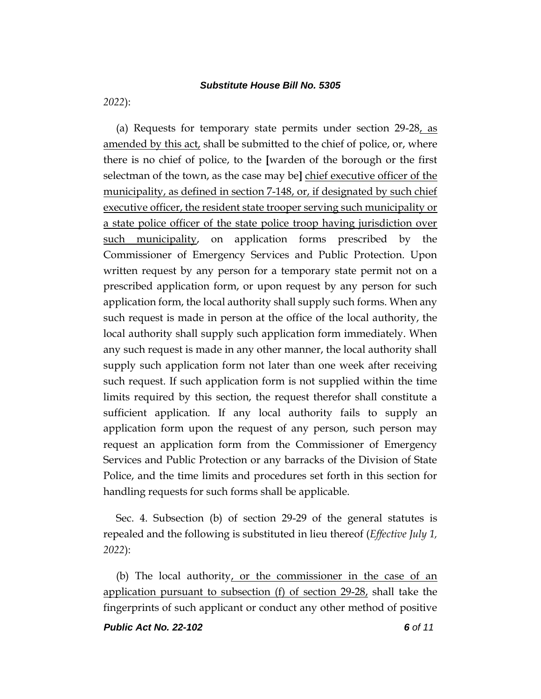*2022*):

(a) Requests for temporary state permits under section 29-28, as amended by this act, shall be submitted to the chief of police, or, where there is no chief of police, to the **[**warden of the borough or the first selectman of the town, as the case may be**]** chief executive officer of the municipality, as defined in section 7-148, or, if designated by such chief executive officer, the resident state trooper serving such municipality or a state police officer of the state police troop having jurisdiction over such municipality, on application forms prescribed by the Commissioner of Emergency Services and Public Protection. Upon written request by any person for a temporary state permit not on a prescribed application form, or upon request by any person for such application form, the local authority shall supply such forms. When any such request is made in person at the office of the local authority, the local authority shall supply such application form immediately. When any such request is made in any other manner, the local authority shall supply such application form not later than one week after receiving such request. If such application form is not supplied within the time limits required by this section, the request therefor shall constitute a sufficient application. If any local authority fails to supply an application form upon the request of any person, such person may request an application form from the Commissioner of Emergency Services and Public Protection or any barracks of the Division of State Police, and the time limits and procedures set forth in this section for handling requests for such forms shall be applicable.

Sec. 4. Subsection (b) of section 29-29 of the general statutes is repealed and the following is substituted in lieu thereof (*Effective July 1, 2022*):

(b) The local authority, or the commissioner in the case of an application pursuant to subsection  $(f)$  of section 29-28, shall take the fingerprints of such applicant or conduct any other method of positive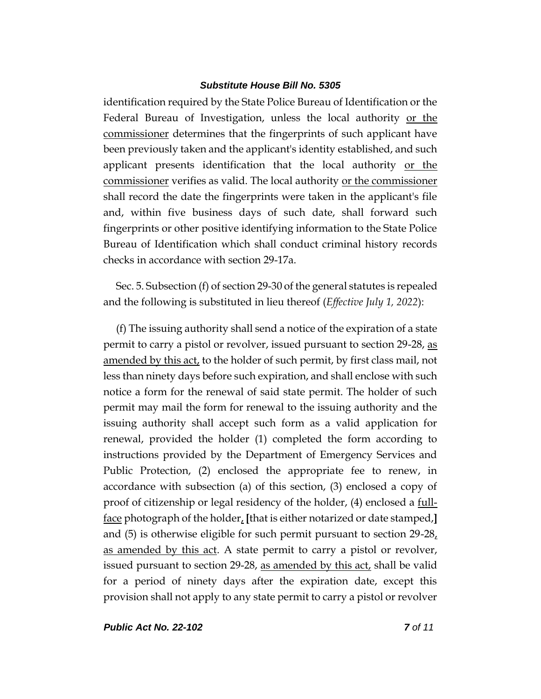identification required by the State Police Bureau of Identification or the Federal Bureau of Investigation, unless the local authority or the commissioner determines that the fingerprints of such applicant have been previously taken and the applicant's identity established, and such applicant presents identification that the local authority or the commissioner verifies as valid. The local authority or the commissioner shall record the date the fingerprints were taken in the applicant's file and, within five business days of such date, shall forward such fingerprints or other positive identifying information to the State Police Bureau of Identification which shall conduct criminal history records checks in accordance with section 29-17a.

Sec. 5. Subsection (f) of section 29-30 of the general statutes is repealed and the following is substituted in lieu thereof (*Effective July 1, 2022*):

(f) The issuing authority shall send a notice of the expiration of a state permit to carry a pistol or revolver, issued pursuant to section 29-28, as amended by this act, to the holder of such permit, by first class mail, not less than ninety days before such expiration, and shall enclose with such notice a form for the renewal of said state permit. The holder of such permit may mail the form for renewal to the issuing authority and the issuing authority shall accept such form as a valid application for renewal, provided the holder (1) completed the form according to instructions provided by the Department of Emergency Services and Public Protection, (2) enclosed the appropriate fee to renew, in accordance with subsection (a) of this section, (3) enclosed a copy of proof of citizenship or legal residency of the holder,  $(4)$  enclosed a  $full$ </u> face photograph of the holder, **[**that is either notarized or date stamped,**]** and (5) is otherwise eligible for such permit pursuant to section 29-28, as amended by this act. A state permit to carry a pistol or revolver, issued pursuant to section 29-28, as amended by this act, shall be valid for a period of ninety days after the expiration date, except this provision shall not apply to any state permit to carry a pistol or revolver

*Public Act No. 22-102 7 of 11*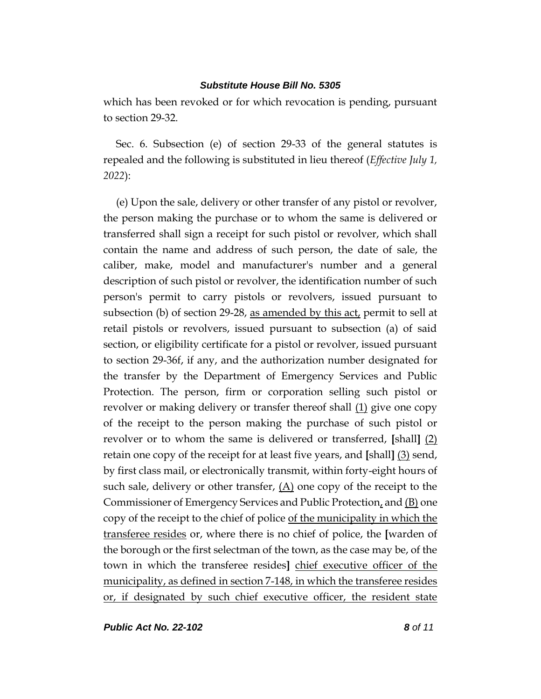which has been revoked or for which revocation is pending, pursuant to section 29-32.

Sec. 6. Subsection (e) of section 29-33 of the general statutes is repealed and the following is substituted in lieu thereof (*Effective July 1, 2022*):

(e) Upon the sale, delivery or other transfer of any pistol or revolver, the person making the purchase or to whom the same is delivered or transferred shall sign a receipt for such pistol or revolver, which shall contain the name and address of such person, the date of sale, the caliber, make, model and manufacturer's number and a general description of such pistol or revolver, the identification number of such person's permit to carry pistols or revolvers, issued pursuant to subsection (b) of section 29-28, as amended by this  $\text{act}_t$  permit to sell at retail pistols or revolvers, issued pursuant to subsection (a) of said section, or eligibility certificate for a pistol or revolver, issued pursuant to section 29-36f, if any, and the authorization number designated for the transfer by the Department of Emergency Services and Public Protection. The person, firm or corporation selling such pistol or revolver or making delivery or transfer thereof shall (1) give one copy of the receipt to the person making the purchase of such pistol or revolver or to whom the same is delivered or transferred, **[**shall**]** (2) retain one copy of the receipt for at least five years, and **[**shall**]** (3) send, by first class mail, or electronically transmit, within forty-eight hours of such sale, delivery or other transfer,  $(A)$  one copy of the receipt to the Commissioner of Emergency Services and Public Protection, and  $(B)$  one copy of the receipt to the chief of police of the municipality in which the transferee resides or, where there is no chief of police, the **[**warden of the borough or the first selectman of the town, as the case may be, of the town in which the transferee resides**]** chief executive officer of the municipality, as defined in section 7-148, in which the transferee resides or, if designated by such chief executive officer, the resident state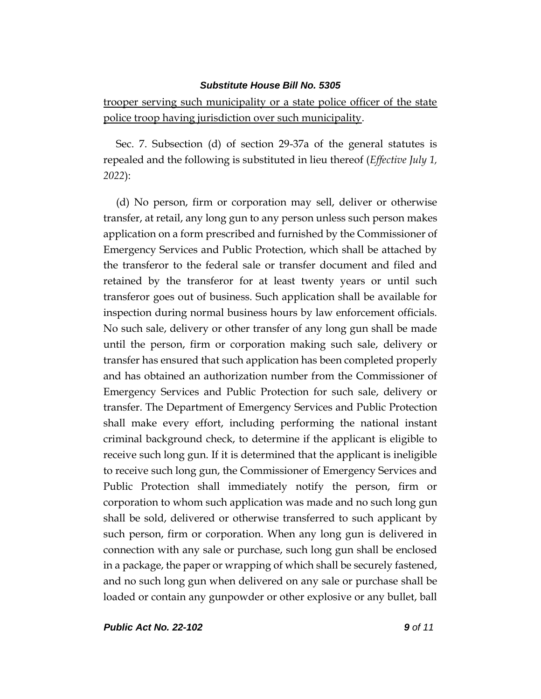trooper serving such municipality or a state police officer of the state police troop having jurisdiction over such municipality.

Sec. 7. Subsection (d) of section 29-37a of the general statutes is repealed and the following is substituted in lieu thereof (*Effective July 1, 2022*):

(d) No person, firm or corporation may sell, deliver or otherwise transfer, at retail, any long gun to any person unless such person makes application on a form prescribed and furnished by the Commissioner of Emergency Services and Public Protection, which shall be attached by the transferor to the federal sale or transfer document and filed and retained by the transferor for at least twenty years or until such transferor goes out of business. Such application shall be available for inspection during normal business hours by law enforcement officials. No such sale, delivery or other transfer of any long gun shall be made until the person, firm or corporation making such sale, delivery or transfer has ensured that such application has been completed properly and has obtained an authorization number from the Commissioner of Emergency Services and Public Protection for such sale, delivery or transfer. The Department of Emergency Services and Public Protection shall make every effort, including performing the national instant criminal background check, to determine if the applicant is eligible to receive such long gun. If it is determined that the applicant is ineligible to receive such long gun, the Commissioner of Emergency Services and Public Protection shall immediately notify the person, firm or corporation to whom such application was made and no such long gun shall be sold, delivered or otherwise transferred to such applicant by such person, firm or corporation. When any long gun is delivered in connection with any sale or purchase, such long gun shall be enclosed in a package, the paper or wrapping of which shall be securely fastened, and no such long gun when delivered on any sale or purchase shall be loaded or contain any gunpowder or other explosive or any bullet, ball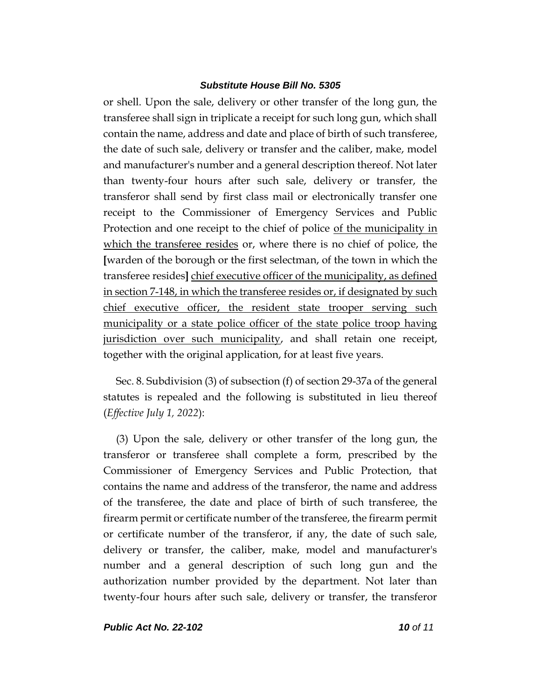or shell. Upon the sale, delivery or other transfer of the long gun, the transferee shall sign in triplicate a receipt for such long gun, which shall contain the name, address and date and place of birth of such transferee, the date of such sale, delivery or transfer and the caliber, make, model and manufacturer's number and a general description thereof. Not later than twenty-four hours after such sale, delivery or transfer, the transferor shall send by first class mail or electronically transfer one receipt to the Commissioner of Emergency Services and Public Protection and one receipt to the chief of police of the municipality in which the transferee resides or, where there is no chief of police, the **[**warden of the borough or the first selectman, of the town in which the transferee resides**]** chief executive officer of the municipality, as defined in section 7-148, in which the transferee resides or, if designated by such chief executive officer, the resident state trooper serving such municipality or a state police officer of the state police troop having jurisdiction over such municipality, and shall retain one receipt, together with the original application, for at least five years.

Sec. 8. Subdivision (3) of subsection (f) of section 29-37a of the general statutes is repealed and the following is substituted in lieu thereof (*Effective July 1, 2022*):

(3) Upon the sale, delivery or other transfer of the long gun, the transferor or transferee shall complete a form, prescribed by the Commissioner of Emergency Services and Public Protection, that contains the name and address of the transferor, the name and address of the transferee, the date and place of birth of such transferee, the firearm permit or certificate number of the transferee, the firearm permit or certificate number of the transferor, if any, the date of such sale, delivery or transfer, the caliber, make, model and manufacturer's number and a general description of such long gun and the authorization number provided by the department. Not later than twenty-four hours after such sale, delivery or transfer, the transferor